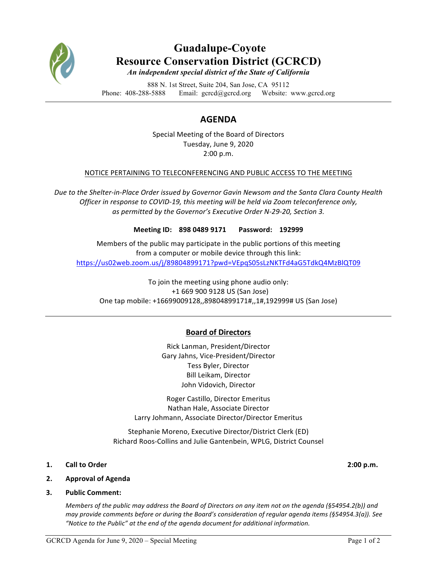

# **Guadalupe-Coyote Resource Conservation District (GCRCD)** *An independent special district of the State of California*

888 N. 1st Street, Suite 204, San Jose, CA 95112 Phone: 408-288-5888 Email: gcrcd@gcrcd.org Website: www.gcrcd.org

# **AGENDA**

Special Meeting of the Board of Directors Tuesday, June 9, 2020 2:00 p.m.

## NOTICE PERTAINING TO TELECONFERENCING AND PUBLIC ACCESS TO THE MEETING

Due to the Shelter-in-Place Order issued by Governor Gavin Newsom and the Santa Clara County Health *Officer in response to COVID-19, this meeting will be held via Zoom teleconference only,* as permitted by the Governor's Executive Order N-29-20, Section 3.

### Meeting ID: 898 0489 9171 Password: 192999

Members of the public may participate in the public portions of this meeting from a computer or mobile device through this link: https://us02web.zoom.us/j/89804899171?pwd=VEpqS05sLzNKTFd4aG5TdkQ4MzBlQT09

To join the meeting using phone audio only: +1 669 900 9128 US (San Jose) One tap mobile: +16699009128,,89804899171#,,1#,192999# US (San Jose)

## **Board of Directors**

Rick Lanman, President/Director Gary Jahns, Vice-President/Director Tess Byler, Director Bill Leikam, Director John Vidovich, Director

Roger Castillo, Director Emeritus Nathan Hale, Associate Director Larry Johmann, Associate Director/Director Emeritus

Stephanie Moreno, Executive Director/District Clerk (ED) Richard Roos-Collins and Julie Gantenbein, WPLG, District Counsel

- **1. Call to Order 2:00 p.m.**
- **2. Approval of Agenda**
- **3.** Public Comment:

*Members of the public may address the Board of Directors on any item not on the agenda (§54954.2(b))* and *may provide comments before or during the Board's consideration of regular agenda items (§54954.3(a)).* See "Notice to the Public" at the end of the agenda document for additional information.